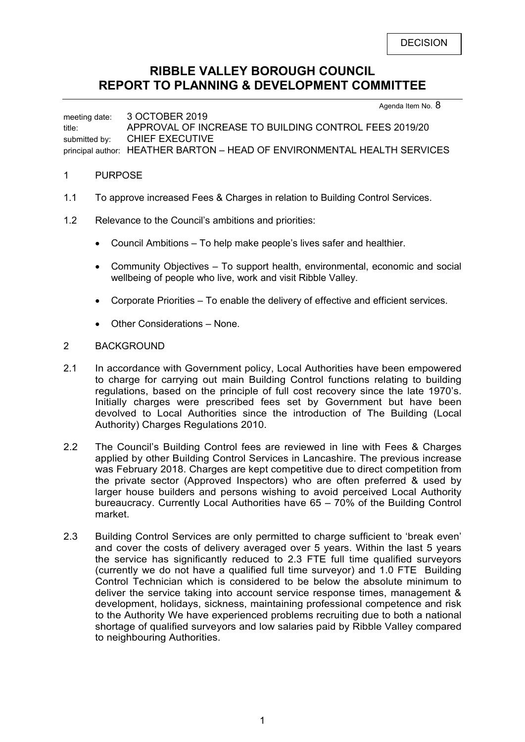# **RIBBLE VALLEY BOROUGH COUNCIL REPORT TO PLANNING & DEVELOPMENT COMMITTEE**

Agenda Item No. 8

meeting date: 3 OCTOBER 2019 title: APPROVAL OF INCREASE TO BUILDING CONTROL FEES 2019/20 submitted by: CHIEF EXECUTIVE principal author: HEATHER BARTON – HEAD OF ENVIRONMENTAL HEALTH SERVICES

# 1 PURPOSE

- 1.1 To approve increased Fees & Charges in relation to Building Control Services.
- 1.2 Relevance to the Council's ambitions and priorities:
	- Council Ambitions To help make people's lives safer and healthier.
	- Community Objectives To support health, environmental, economic and social wellbeing of people who live, work and visit Ribble Valley.
	- Corporate Priorities To enable the delivery of effective and efficient services.
	- Other Considerations None.

# 2 BACKGROUND

- 2.1 In accordance with Government policy, Local Authorities have been empowered to charge for carrying out main Building Control functions relating to building regulations, based on the principle of full cost recovery since the late 1970's. Initially charges were prescribed fees set by Government but have been devolved to Local Authorities since the introduction of The Building (Local Authority) Charges Regulations 2010.
- 2.2 The Council's Building Control fees are reviewed in line with Fees & Charges applied by other Building Control Services in Lancashire. The previous increase was February 2018. Charges are kept competitive due to direct competition from the private sector (Approved Inspectors) who are often preferred & used by larger house builders and persons wishing to avoid perceived Local Authority bureaucracy. Currently Local Authorities have 65 – 70% of the Building Control market.
- 2.3 Building Control Services are only permitted to charge sufficient to 'break even' and cover the costs of delivery averaged over 5 years. Within the last 5 years the service has significantly reduced to 2.3 FTE full time qualified surveyors (currently we do not have a qualified full time surveyor) and 1.0 FTE Building Control Technician which is considered to be below the absolute minimum to deliver the service taking into account service response times, management & development, holidays, sickness, maintaining professional competence and risk to the Authority We have experienced problems recruiting due to both a national shortage of qualified surveyors and low salaries paid by Ribble Valley compared to neighbouring Authorities.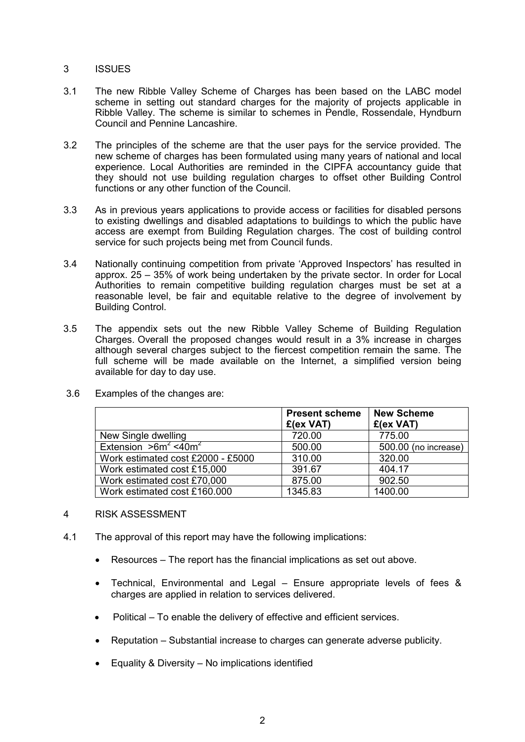# 3 ISSUES

- 3.1 The new Ribble Valley Scheme of Charges has been based on the LABC model scheme in setting out standard charges for the majority of projects applicable in Ribble Valley. The scheme is similar to schemes in Pendle, Rossendale, Hyndburn Council and Pennine Lancashire.
- 3.2 The principles of the scheme are that the user pays for the service provided. The new scheme of charges has been formulated using many years of national and local experience. Local Authorities are reminded in the CIPFA accountancy guide that they should not use building regulation charges to offset other Building Control functions or any other function of the Council.
- 3.3 As in previous years applications to provide access or facilities for disabled persons to existing dwellings and disabled adaptations to buildings to which the public have access are exempt from Building Regulation charges. The cost of building control service for such projects being met from Council funds.
- 3.4 Nationally continuing competition from private 'Approved Inspectors' has resulted in approx. 25 – 35% of work being undertaken by the private sector. In order for Local Authorities to remain competitive building regulation charges must be set at a reasonable level, be fair and equitable relative to the degree of involvement by Building Control.
- 3.5 The appendix sets out the new Ribble Valley Scheme of Building Regulation Charges. Overall the proposed changes would result in a 3% increase in charges although several charges subject to the fiercest competition remain the same. The full scheme will be made available on the Internet, a simplified version being available for day to day use.

|                                     | <b>Present scheme</b><br>£(ex VAT) | <b>New Scheme</b><br>£(ex VAT) |
|-------------------------------------|------------------------------------|--------------------------------|
| New Single dwelling                 | 720.00                             | 775.00                         |
| Extension $>6m^2$ <40m <sup>2</sup> | 500.00                             | 500.00 (no increase)           |
| Work estimated cost £2000 - £5000   | 310.00                             | 320.00                         |
| Work estimated cost £15,000         | 391.67                             | 404.17                         |
| Work estimated cost £70,000         | 875.00                             | 902.50                         |
| Work estimated cost £160.000        | 1345.83                            | 1400.00                        |

3.6 Examples of the changes are:

- 4 RISK ASSESSMENT
- 4.1 The approval of this report may have the following implications:
	- Resources The report has the financial implications as set out above.
	- Technical, Environmental and Legal Ensure appropriate levels of fees & charges are applied in relation to services delivered.
	- Political To enable the delivery of effective and efficient services.
	- Reputation Substantial increase to charges can generate adverse publicity.
	- Equality & Diversity  $-$  No implications identified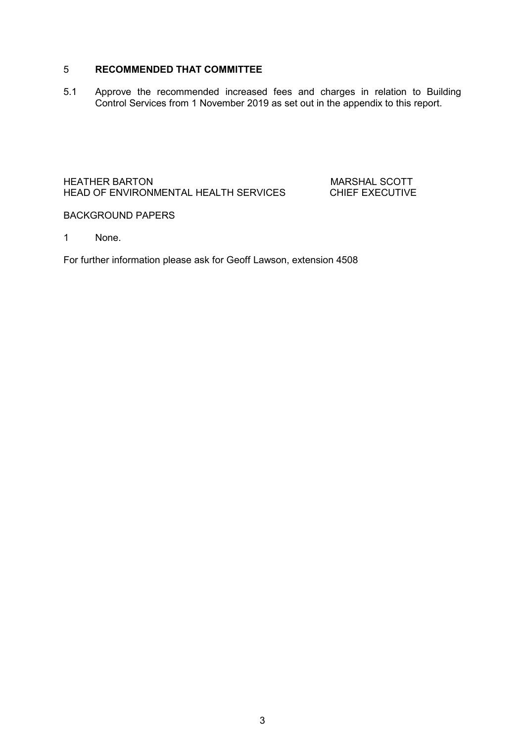# 5 **RECOMMENDED THAT COMMITTEE**

5.1 Approve the recommended increased fees and charges in relation to Building Control Services from 1 November 2019 as set out in the appendix to this report.

# HEATHER BARTON MEATHER BARTON MARSHAL SCOTT<br>HEAD OF ENVIRONMENTAL HEALTH SERVICES CHIEF EXECUTIVE HEAD OF ENVIRONMENTAL HEALTH SERVICES

## BACKGROUND PAPERS

1 None.

For further information please ask for Geoff Lawson, extension 4508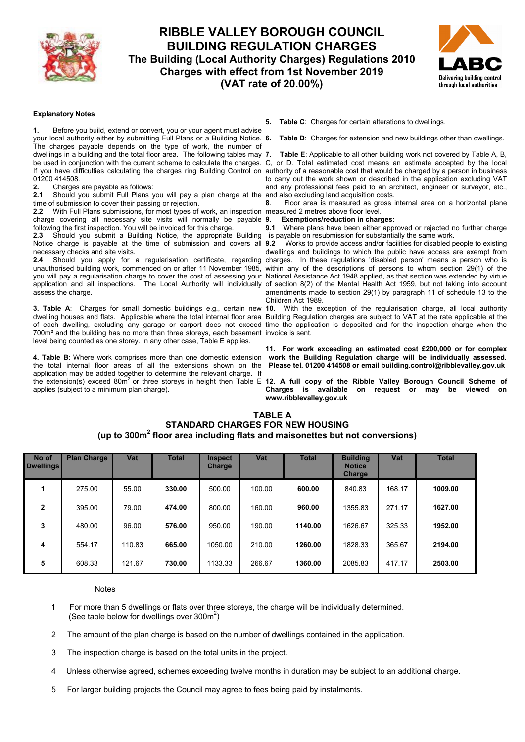

# **RIBBLE VALLEY BOROUGH COUNCIL BUILDING REGULATION CHARGES The Building (Local Authority Charges) Regulations 2010 Charges with effect from 1st November 2019 (VAT rate of 20.00%)**



#### **Explanatory Notes**

**1.** Before you build, extend or convert, you or your agent must advise your local authority either by submitting Full Plans or a Building Notice. 6. The charges payable depends on the type of work, the number of dwellings in a building and the total floor area. The following tables may 7. 01200 414508.

**2.** Charges are payable as follows:

**2.1** Should you submit Full Plans you will pay a plan charge at the and also excluding land acquisition costs. time of submission to cover their passing or rejection.

**2.2** With Full Plans submissions, for most types of work, an inspection measured 2 metres above floor level. charge covering all necessary site visits will normally be payable 9. following the first inspection. You will be invoiced for this charge.

**2.3** Should you submit a Building Notice, the appropriate Building is payable on resubmission for substantially the same work. Notice charge is payable at the time of submission and covers all 9.2 necessary checks and site visits.

unauthorised building work, commenced on or after 11 November 1985, assess the charge.

700m² and the building has no more than three storeys, each basement invoice is sent. level being counted as one storey. In any other case, Table E applies.

**4. Table B**: Where work comprises more than one domestic extension the total internal floor areas of all the extensions shown on the application may be added together to determine the relevant charge. If applies (subject to a minimum plan charge).

**5. Table C**: Charges for certain alterations to dwellings.

**Table D:** Charges for extension and new buildings other than dwellings.

be used in conjunction with the current scheme to calculate the charges. C, or D. Total estimated cost means an estimate accepted by the local If you have difficulties calculating the charges ring Building Control on authority of a reasonable cost that would be charged by a person in business **7. Table E**: Applicable to all other building work not covered by Table A, B, to carry out the work shown or described in the application excluding VAT and any professional fees paid to an architect, engineer or surveyor, etc.,

**8**. Floor area is measured as gross internal area on a horizontal plane

# **9. Exemptions/reduction in charges:**

Where plans have been either approved or rejected no further charge

2.4 Should you apply for a regularisation certificate, regarding charges. In these regulations 'disabled person' means a person who is you will pay a regularisation charge to cover the cost of assessing your National Assistance Act 1948 applied, as that section was extended by virtue application and all inspections. The Local Authority will individually of section 8(2) of the Mental Health Act 1959, but not taking into account **9.2** Works to provide access and/or facilities for disabled people to existing dwellings and buildings to which the public have access are exempt from within any of the descriptions of persons to whom section 29(1) of the amendments made to section 29(1) by paragraph 11 of schedule 13 to the Children Act 1989.

**3. Table A**: Charges for small domestic buildings e.g., certain new **10.** With the exception of the regularisation charge, all local authority dwelling houses and flats. Applicable where the total internal floor area Building Regulation charges are subject to VAT at the rate applicable at the of each dwelling, excluding any garage or carport does not exceed time the application is deposited and for the inspection charge when the

> **11. For work exceeding an estimated cost £200,000 or for complex work the Building Regulation charge will be individually assessed. Please tel. 01200 414508 or email building.control@ribblevalley.gov.uk**

the extension(s) exceed 80m<sup>2</sup> or three storeys in height then Table E 12. A full copy of the Ribble Valley Borough Council Scheme of **Charges is available on request or may be viewed on www.ribblevalley.gov.uk** 

### **TABLE A STANDARD CHARGES FOR NEW HOUSING (up to 300m<sup>2</sup> floor area including flats and maisonettes but not conversions)**

| No of<br><b>Dwellings</b> | <b>Plan Charge</b> | Vat    | <b>Total</b> | <b>Inspect</b><br><b>Charge</b> | Vat    | <b>Total</b> | <b>Building</b><br><b>Notice</b><br><b>Charge</b> | Vat    | <b>Total</b> |
|---------------------------|--------------------|--------|--------------|---------------------------------|--------|--------------|---------------------------------------------------|--------|--------------|
|                           | 275.00             | 55.00  | 330.00       | 500.00                          | 100.00 | 600.00       | 840.83                                            | 168.17 | 1009.00      |
| $\mathbf{2}$              | 395.00             | 79.00  | 474.00       | 800.00                          | 160.00 | 960.00       | 1355.83                                           | 271.17 | 1627.00      |
| 3                         | 480.00             | 96.00  | 576.00       | 950.00                          | 190.00 | 1140.00      | 1626.67                                           | 325.33 | 1952.00      |
| 4                         | 554.17             | 110.83 | 665.00       | 1050.00                         | 210.00 | 1260.00      | 1828.33                                           | 365.67 | 2194.00      |
| 5                         | 608.33             | 121.67 | 730.00       | 1133.33                         | 266.67 | 1360.00      | 2085.83                                           | 417.17 | 2503.00      |

#### Notes

- 1 For more than 5 dwellings or flats over three storeys, the charge will be individually determined. (See table below for dwellings over 300m<sup>2</sup>)
	- 2 The amount of the plan charge is based on the number of dwellings contained in the application.
	- 3 The inspection charge is based on the total units in the project.
	- 4 Unless otherwise agreed, schemes exceeding twelve months in duration may be subject to an additional charge.
	- 5 For larger building projects the Council may agree to fees being paid by instalments.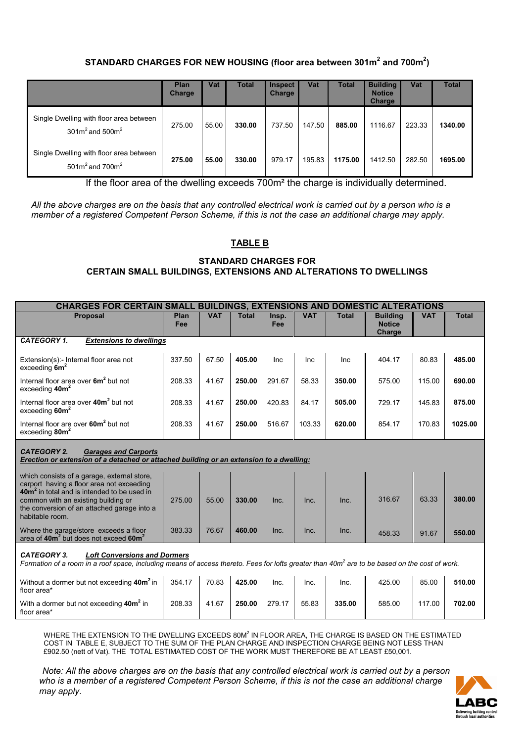# **STANDARD CHARGES FOR NEW HOUSING (floor area between 301m<sup>2</sup> and 700m<sup>2</sup> )**

|                                                                    | Plan<br>Charge | Vat   | <b>Total</b> | <b>Inspect</b><br><b>Charge</b> | Vat    | <b>Total</b> | <b>Building</b><br><b>Notice</b><br>Charge | Vat    | <b>Total</b> |
|--------------------------------------------------------------------|----------------|-------|--------------|---------------------------------|--------|--------------|--------------------------------------------|--------|--------------|
| Single Dwelling with floor area between<br>301 $m2$ and 500 $m2$   | 275.00         | 55.00 | 330.00       | 737.50                          | 147.50 | 885.00       | 1116.67                                    | 223.33 | 1340.00      |
| Single Dwelling with floor area between<br>501 $m^2$ and 700 $m^2$ | 275.00         | 55.00 | 330.00       | 979.17                          | 195.83 | 1175.00      | 1412.50                                    | 282.50 | 1695.00      |

If the floor area of the dwelling exceeds 700m² the charge is individually determined.

*All the above charges are on the basis that any controlled electrical work is carried out by a person who is a member of a registered Competent Person Scheme, if this is not the case an additional charge may apply.*

# **TABLE B**

## **STANDARD CHARGES FOR CERTAIN SMALL BUILDINGS, EXTENSIONS AND ALTERATIONS TO DWELLINGS**

| <b>CHARGES FOR CERTAIN SMALL BUILDINGS, EXTENSIONS AND DOMESTIC ALTERATIONS</b>                                                                                                                                                                              |             |            |              |              |            |              |                                            |            |              |  |
|--------------------------------------------------------------------------------------------------------------------------------------------------------------------------------------------------------------------------------------------------------------|-------------|------------|--------------|--------------|------------|--------------|--------------------------------------------|------------|--------------|--|
| <b>Proposal</b>                                                                                                                                                                                                                                              | Plan<br>Fee | <b>VAT</b> | <b>Total</b> | Insp.<br>Fee | <b>VAT</b> | <b>Total</b> | <b>Building</b><br><b>Notice</b><br>Charge | <b>VAT</b> | <b>Total</b> |  |
| <b>CATEGORY 1.</b><br><b>Extensions to dwellings</b>                                                                                                                                                                                                         |             |            |              |              |            |              |                                            |            |              |  |
| Extension(s):- Internal floor area not<br>exceeding $6m^2$                                                                                                                                                                                                   | 337.50      | 67.50      | 405.00       | Inc          | Inc        | Inc          | 404.17                                     | 80.83      | 485.00       |  |
| Internal floor area over 6m <sup>2</sup> but not<br>exceeding 40m <sup>2</sup>                                                                                                                                                                               | 208.33      | 41.67      | 250.00       | 291.67       | 58.33      | 350.00       | 575.00                                     | 115.00     | 690.00       |  |
| Internal floor area over 40m <sup>2</sup> but not<br>exceeding 60m <sup>2</sup>                                                                                                                                                                              | 208.33      | 41.67      | 250.00       | 420.83       | 84.17      | 505.00       | 729.17                                     | 145.83     | 875.00       |  |
| Internal floor are over 60m <sup>2</sup> but not<br>exceeding 80m <sup>2</sup>                                                                                                                                                                               | 208.33      | 41.67      | 250.00       | 516.67       | 103.33     | 620.00       | 854.17                                     | 170.83     | 1025.00      |  |
| <b>CATEGORY 2.</b><br><b>Garages and Carports</b><br>Erection or extension of a detached or attached building or an extension to a dwelling:                                                                                                                 |             |            |              |              |            |              |                                            |            |              |  |
| which consists of a garage, external store,<br>carport having a floor area not exceeding<br>40m <sup>2</sup> in total and is intended to be used in<br>common with an existing building or<br>the conversion of an attached garage into a<br>habitable room. | 275.00      | 55.00      | 330.00       | Inc.         | Inc.       | Inc.         | 316.67                                     | 63.33      | 380.00       |  |
| Where the garage/store exceeds a floor<br>area of 40m <sup>2</sup> but does not exceed 60m <sup>2</sup>                                                                                                                                                      | 383.33      | 76.67      | 460.00       | Inc.         | Inc.       | Inc.         | 458.33                                     | 91.67      | 550.00       |  |
| <b>CATEGORY 3.</b><br><b>Loft Conversions and Dormers</b><br>Formation of a room in a roof space, including means of access thereto. Fees for lofts greater than 40m <sup>2</sup> are to be based on the cost of work.                                       |             |            |              |              |            |              |                                            |            |              |  |
| Without a dormer but not exceeding 40m <sup>2</sup> in<br>floor area*                                                                                                                                                                                        | 354.17      | 70.83      | 425.00       | Inc.         | Inc.       | Inc.         | 425.00                                     | 85.00      | 510.00       |  |
| With a dormer but not exceeding 40m <sup>2</sup> in<br>floor area*                                                                                                                                                                                           | 208.33      | 41.67      | 250.00       | 279.17       | 55.83      | 335.00       | 585.00                                     | 117.00     | 702.00       |  |

WHERE THE EXTENSION TO THE DWELLING EXCEEDS 80M<sup>2</sup> IN FLOOR AREA, THE CHARGE IS BASED ON THE ESTIMATED COST IN TABLE E, SUBJECT TO THE SUM OF THE PLAN CHARGE AND INSPECTION CHARGE BEING NOT LESS THAN £902.50 (nett of Vat). THE TOTAL ESTIMATED COST OF THE WORK MUST THEREFORE BE AT LEAST £50,001.

 *Note: All the above charges are on the basis that any controlled electrical work is carried out by a person who is a member of a registered Competent Person Scheme, if this is not the case an additional charge may apply*.

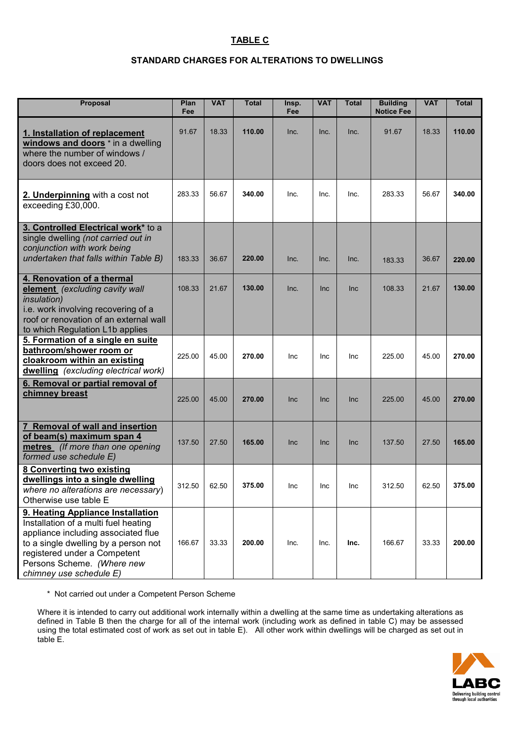# **TABLE C**

# **STANDARD CHARGES FOR ALTERATIONS TO DWELLINGS**

| <b>Proposal</b>                                                                                                                                                                                                                                   | Plan<br>Fee | <b>VAT</b> | <b>Total</b> | Insp.<br>Fee | <b>VAT</b> | <b>Total</b> | <b>Building</b><br><b>Notice Fee</b> | <b>VAT</b> | <b>Total</b> |
|---------------------------------------------------------------------------------------------------------------------------------------------------------------------------------------------------------------------------------------------------|-------------|------------|--------------|--------------|------------|--------------|--------------------------------------|------------|--------------|
| 1. Installation of replacement<br>windows and doors * in a dwelling<br>where the number of windows /<br>doors does not exceed 20.                                                                                                                 | 91.67       | 18.33      | 110.00       | Inc.         | Inc.       | Inc.         | 91.67                                | 18.33      | 110.00       |
| 2. Underpinning with a cost not<br>exceeding £30,000.                                                                                                                                                                                             | 283.33      | 56.67      | 340.00       | Inc.         | Inc.       | Inc.         | 283.33                               | 56.67      | 340.00       |
| 3. Controlled Electrical work* to a<br>single dwelling (not carried out in<br>conjunction with work being<br>undertaken that falls within Table B)                                                                                                | 183.33      | 36.67      | 220.00       | Inc.         | Inc.       | Inc.         | 183.33                               | 36.67      | 220.00       |
| 4. Renovation of a thermal<br>element (excluding cavity wall<br><i>insulation</i> )<br>i.e. work involving recovering of a<br>roof or renovation of an external wall<br>to which Regulation L1b applies                                           | 108.33      | 21.67      | 130.00       | Inc.         | <b>Inc</b> | Inc          | 108.33                               | 21.67      | 130.00       |
| 5. Formation of a single en suite<br>bathroom/shower room or<br>cloakroom within an existing<br>dwelling (excluding electrical work)                                                                                                              | 225.00      | 45.00      | 270.00       | Inc          | Inc        | <b>Inc</b>   | 225.00                               | 45.00      | 270.00       |
| 6. Removal or partial removal of<br>chimney breast                                                                                                                                                                                                | 225.00      | 45.00      | 270.00       | <b>Inc</b>   | <b>Inc</b> | Inc          | 225.00                               | 45.00      | 270.00       |
| <b>Removal of wall and insertion</b><br>of beam(s) maximum span 4<br>metres (If more than one opening<br>formed use schedule E)                                                                                                                   | 137.50      | 27.50      | 165.00       | <b>Inc</b>   | Inc        | Inc          | 137.50                               | 27.50      | 165.00       |
| <b>8 Converting two existing</b><br>dwellings into a single dwelling<br>where no alterations are necessary)<br>Otherwise use table E                                                                                                              | 312.50      | 62.50      | 375.00       | Inc          | Inc        | Inc          | 312.50                               | 62.50      | 375.00       |
| 9. Heating Appliance Installation<br>Installation of a multi fuel heating<br>appliance including associated flue<br>to a single dwelling by a person not<br>registered under a Competent<br>Persons Scheme. (Where new<br>chimney use schedule E) | 166.67      | 33.33      | 200.00       | Inc.         | Inc.       | Inc.         | 166.67                               | 33.33      | 200.00       |

\* Not carried out under a Competent Person Scheme

Where it is intended to carry out additional work internally within a dwelling at the same time as undertaking alterations as defined in Table B then the charge for all of the internal work (including work as defined in table C) may be assessed using the total estimated cost of work as set out in table E). All other work within dwellings will be charged as set out in table E.